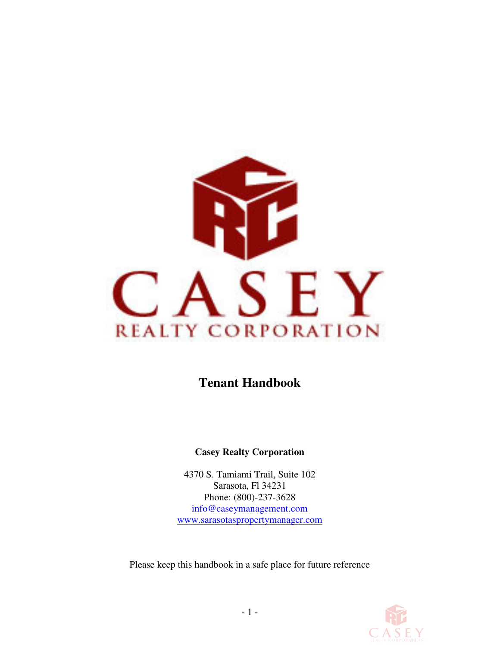

**Tenant Handbook** 

## **Casey Realty Corporation**

4370 S. Tamiami Trail, Suite 102 Sarasota, Fl 34231 Phone: (800)-237-3628 info@caseymanagement.com www.sarasotaspropertymanager.com

Please keep this handbook in a safe place for future reference

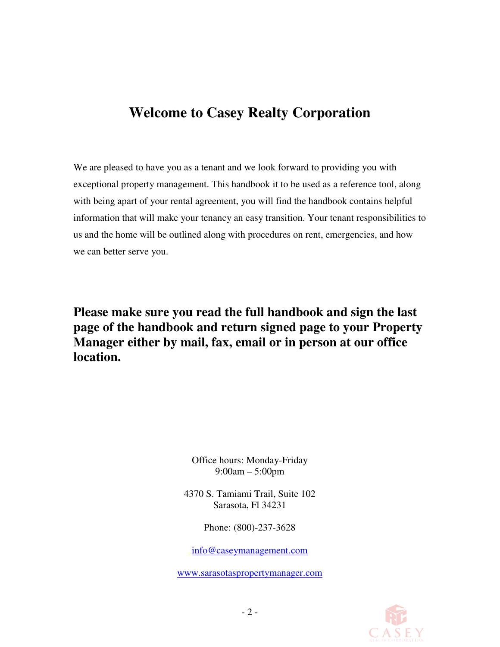# **Welcome to Casey Realty Corporation**

We are pleased to have you as a tenant and we look forward to providing you with exceptional property management. This handbook it to be used as a reference tool, along with being apart of your rental agreement, you will find the handbook contains helpful information that will make your tenancy an easy transition. Your tenant responsibilities to us and the home will be outlined along with procedures on rent, emergencies, and how we can better serve you.

**Please make sure you read the full handbook and sign the last page of the handbook and return signed page to your Property Manager either by mail, fax, email or in person at our office location.** 

> Office hours: Monday-Friday 9:00am – 5:00pm

4370 S. Tamiami Trail, Suite 102 Sarasota, Fl 34231

Phone: (800)-237-3628

info@caseymanagement.com

www.sarasotaspropertymanager.com

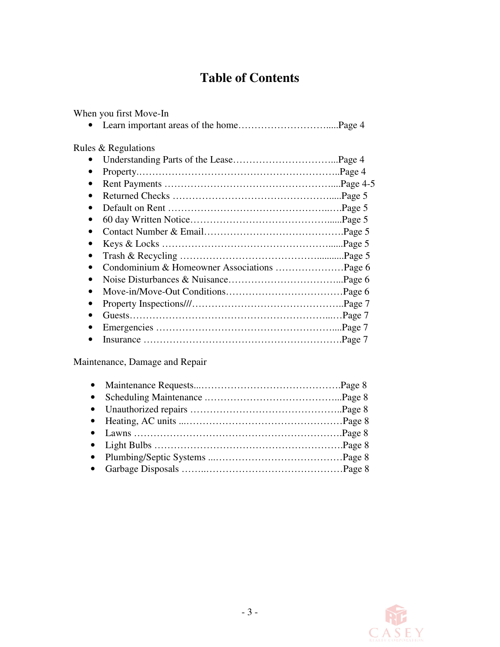# **Table of Contents**

When you first Move-In

|--|--|--|

Rules & Regulations

Maintenance, Damage and Repair

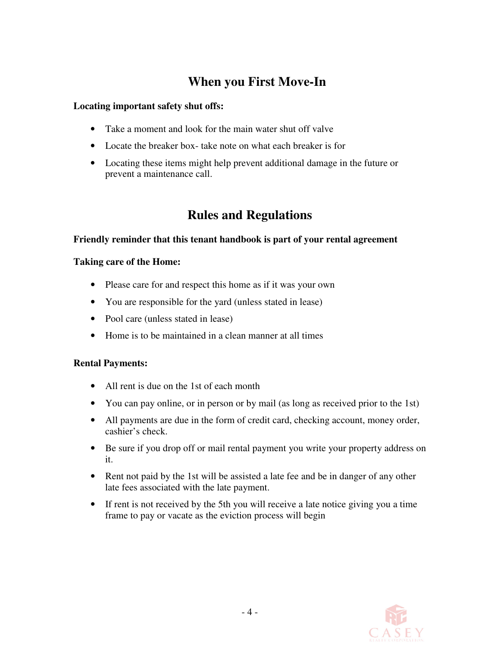# **When you First Move-In**

#### **Locating important safety shut offs:**

- Take a moment and look for the main water shut off valve
- Locate the breaker box-take note on what each breaker is for
- Locating these items might help prevent additional damage in the future or prevent a maintenance call.

# **Rules and Regulations**

#### **Friendly reminder that this tenant handbook is part of your rental agreement**

#### **Taking care of the Home:**

- Please care for and respect this home as if it was your own
- You are responsible for the yard (unless stated in lease)
- Pool care (unless stated in lease)
- Home is to be maintained in a clean manner at all times

#### **Rental Payments:**

- All rent is due on the 1st of each month
- You can pay online, or in person or by mail (as long as received prior to the 1st)
- All payments are due in the form of credit card, checking account, money order, cashier's check.
- Be sure if you drop off or mail rental payment you write your property address on it.
- Rent not paid by the 1st will be assisted a late fee and be in danger of any other late fees associated with the late payment.
- If rent is not received by the 5th you will receive a late notice giving you a time frame to pay or vacate as the eviction process will begin

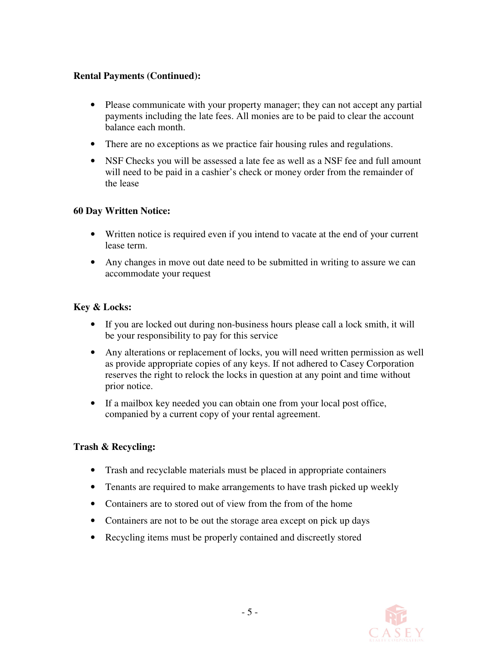#### **Rental Payments (Continued):**

- Please communicate with your property manager; they can not accept any partial payments including the late fees. All monies are to be paid to clear the account balance each month.
- There are no exceptions as we practice fair housing rules and regulations.
- NSF Checks you will be assessed a late fee as well as a NSF fee and full amount will need to be paid in a cashier's check or money order from the remainder of the lease

### **60 Day Written Notice:**

- Written notice is required even if you intend to vacate at the end of your current lease term.
- Any changes in move out date need to be submitted in writing to assure we can accommodate your request

### **Key & Locks:**

- If you are locked out during non-business hours please call a lock smith, it will be your responsibility to pay for this service
- Any alterations or replacement of locks, you will need written permission as well as provide appropriate copies of any keys. If not adhered to Casey Corporation reserves the right to relock the locks in question at any point and time without prior notice.
- If a mailbox key needed you can obtain one from your local post office, companied by a current copy of your rental agreement.

#### **Trash & Recycling:**

- Trash and recyclable materials must be placed in appropriate containers
- Tenants are required to make arrangements to have trash picked up weekly
- Containers are to stored out of view from the from of the home
- Containers are not to be out the storage area except on pick up days
- Recycling items must be properly contained and discreetly stored

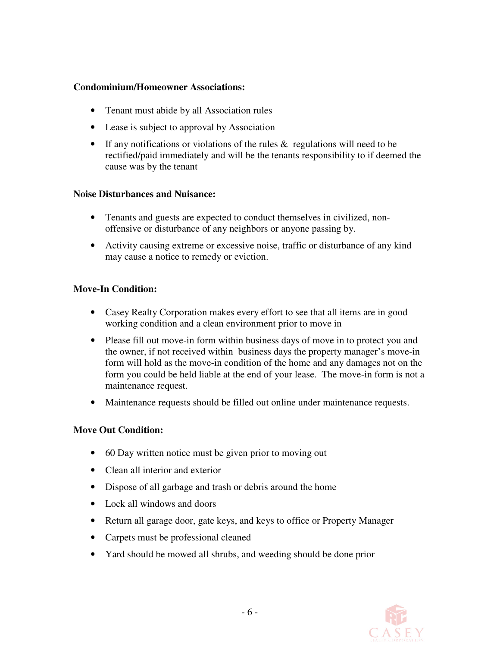#### **Condominium/Homeowner Associations:**

- Tenant must abide by all Association rules
- Lease is subject to approval by Association
- If any notifications or violations of the rules  $\&$  regulations will need to be rectified/paid immediately and will be the tenants responsibility to if deemed the cause was by the tenant

#### **Noise Disturbances and Nuisance:**

- Tenants and guests are expected to conduct themselves in civilized, nonoffensive or disturbance of any neighbors or anyone passing by.
- Activity causing extreme or excessive noise, traffic or disturbance of any kind may cause a notice to remedy or eviction.

#### **Move-In Condition:**

- Casey Realty Corporation makes every effort to see that all items are in good working condition and a clean environment prior to move in
- Please fill out move-in form within business days of move in to protect you and the owner, if not received within business days the property manager's move-in form will hold as the move-in condition of the home and any damages not on the form you could be held liable at the end of your lease. The move-in form is not a maintenance request.
- Maintenance requests should be filled out online under maintenance requests.

## **Move Out Condition:**

- 60 Day written notice must be given prior to moving out
- Clean all interior and exterior
- Dispose of all garbage and trash or debris around the home
- Lock all windows and doors
- Return all garage door, gate keys, and keys to office or Property Manager
- Carpets must be professional cleaned
- Yard should be mowed all shrubs, and weeding should be done prior

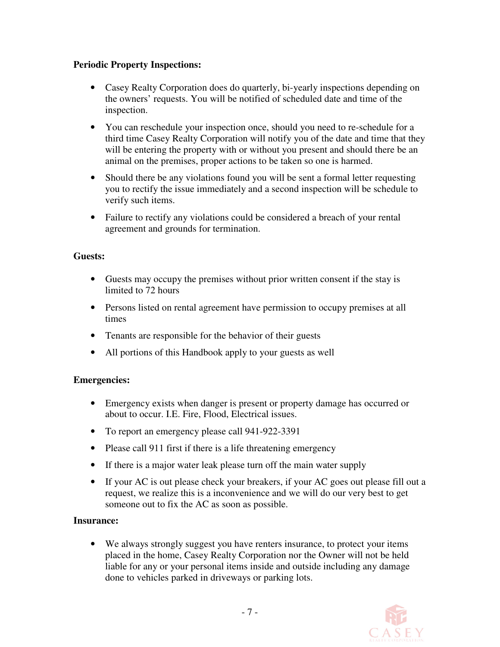#### **Periodic Property Inspections:**

- Casey Realty Corporation does do quarterly, bi-yearly inspections depending on the owners' requests. You will be notified of scheduled date and time of the inspection.
- You can reschedule your inspection once, should you need to re-schedule for a third time Casey Realty Corporation will notify you of the date and time that they will be entering the property with or without you present and should there be an animal on the premises, proper actions to be taken so one is harmed.
- Should there be any violations found you will be sent a formal letter requesting you to rectify the issue immediately and a second inspection will be schedule to verify such items.
- Failure to rectify any violations could be considered a breach of your rental agreement and grounds for termination.

## **Guests:**

- Guests may occupy the premises without prior written consent if the stay is limited to 72 hours
- Persons listed on rental agreement have permission to occupy premises at all times
- Tenants are responsible for the behavior of their guests
- All portions of this Handbook apply to your guests as well

#### **Emergencies:**

- Emergency exists when danger is present or property damage has occurred or about to occur. I.E. Fire, Flood, Electrical issues.
- To report an emergency please call 941-922-3391
- Please call 911 first if there is a life threatening emergency
- If there is a major water leak please turn off the main water supply
- If your AC is out please check your breakers, if your AC goes out please fill out a request, we realize this is a inconvenience and we will do our very best to get someone out to fix the AC as soon as possible.

#### **Insurance:**

We always strongly suggest you have renters insurance, to protect your items placed in the home, Casey Realty Corporation nor the Owner will not be held liable for any or your personal items inside and outside including any damage done to vehicles parked in driveways or parking lots.

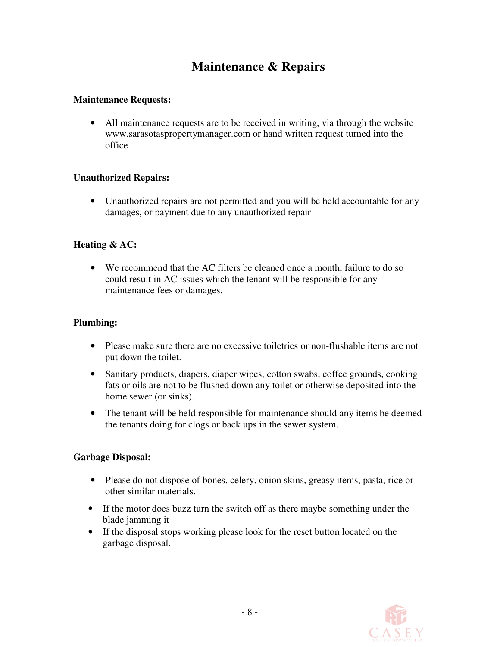# **Maintenance & Repairs**

#### **Maintenance Requests:**

• All maintenance requests are to be received in writing, via through the website www.sarasotaspropertymanager.com or hand written request turned into the office.

#### **Unauthorized Repairs:**

• Unauthorized repairs are not permitted and you will be held accountable for any damages, or payment due to any unauthorized repair

#### **Heating & AC:**

• We recommend that the AC filters be cleaned once a month, failure to do so could result in AC issues which the tenant will be responsible for any maintenance fees or damages.

#### **Plumbing:**

- Please make sure there are no excessive toiletries or non-flushable items are not put down the toilet.
- Sanitary products, diapers, diaper wipes, cotton swabs, coffee grounds, cooking fats or oils are not to be flushed down any toilet or otherwise deposited into the home sewer (or sinks).
- The tenant will be held responsible for maintenance should any items be deemed the tenants doing for clogs or back ups in the sewer system.

#### **Garbage Disposal:**

- Please do not dispose of bones, celery, onion skins, greasy items, pasta, rice or other similar materials.
- If the motor does buzz turn the switch off as there maybe something under the blade jamming it
- If the disposal stops working please look for the reset button located on the garbage disposal.

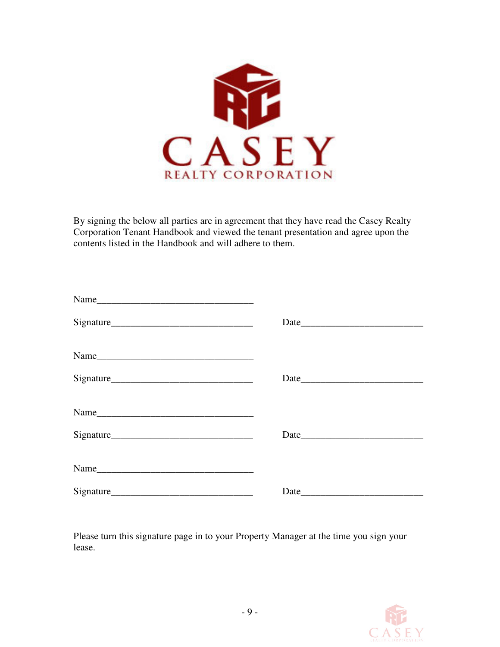

By signing the below all parties are in agreement that they have read the Casey Realty Corporation Tenant Handbook and viewed the tenant presentation and agree upon the contents listed in the Handbook and will adhere to them.

| $Name$ $\qquad \qquad$ |  |
|------------------------|--|
|                        |  |
|                        |  |
|                        |  |

Please turn this signature page in to your Property Manager at the time you sign your lease.